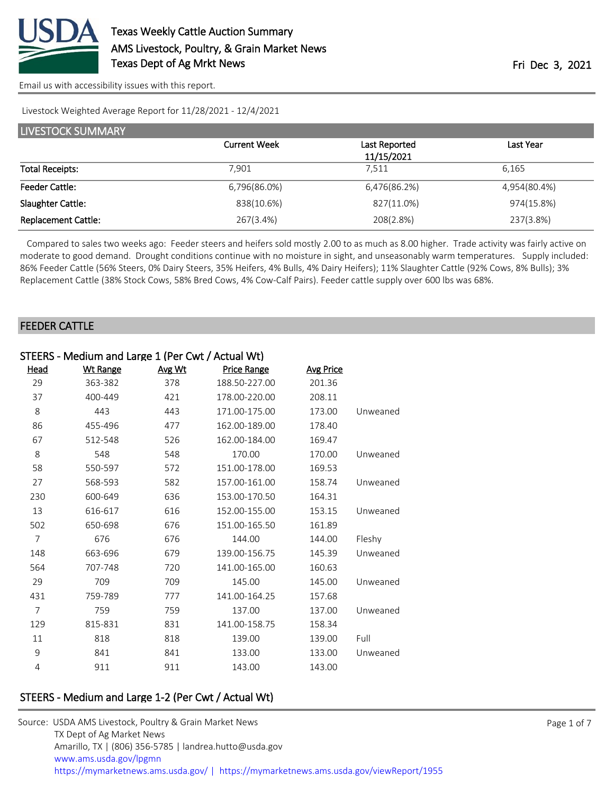

[Email us with accessibility issues with this report.](mailto:mars@ams.usda.gov?subject=508%20issue)

#### Livestock Weighted Average Report for 11/28/2021 - 12/4/2021

| <b>LIVESTOCK SUMMARY</b>   |                     |               |              |  |  |
|----------------------------|---------------------|---------------|--------------|--|--|
|                            | <b>Current Week</b> | Last Reported | Last Year    |  |  |
|                            |                     | 11/15/2021    |              |  |  |
| <b>Total Receipts:</b>     | 7.901               | 7.511         | 6.165        |  |  |
| <b>Feeder Cattle:</b>      | 6,796(86.0%)        | 6,476(86.2%)  | 4,954(80.4%) |  |  |
| Slaughter Cattle:          | 838(10.6%)          | 827(11.0%)    | 974(15.8%)   |  |  |
| <b>Replacement Cattle:</b> | 267(3.4%)           | 208(2.8%)     | 237(3.8%)    |  |  |

 Compared to sales two weeks ago: Feeder steers and heifers sold mostly 2.00 to as much as 8.00 higher. Trade activity was fairly active on moderate to good demand. Drought conditions continue with no moisture in sight, and unseasonably warm temperatures. Supply included: 86% Feeder Cattle (56% Steers, 0% Dairy Steers, 35% Heifers, 4% Bulls, 4% Dairy Heifers); 11% Slaughter Cattle (92% Cows, 8% Bulls); 3% Replacement Cattle (38% Stock Cows, 58% Bred Cows, 4% Cow-Calf Pairs). Feeder cattle supply over 600 lbs was 68%.

### FEEDER CATTLE

|                | STEERS - Medium and Large 1 (Per Cwt / Actual Wt) |        |                    |                  |          |  |
|----------------|---------------------------------------------------|--------|--------------------|------------------|----------|--|
| <u>Head</u>    | <b>Wt Range</b>                                   | Avg Wt | <b>Price Range</b> | <b>Avg Price</b> |          |  |
| 29             | 363-382                                           | 378    | 188.50-227.00      | 201.36           |          |  |
| 37             | 400-449                                           | 421    | 178.00-220.00      | 208.11           |          |  |
| 8              | 443                                               | 443    | 171.00-175.00      | 173.00           | Unweaned |  |
| 86             | 455-496                                           | 477    | 162.00-189.00      | 178.40           |          |  |
| 67             | 512-548                                           | 526    | 162.00-184.00      | 169.47           |          |  |
| 8              | 548                                               | 548    | 170.00             | 170.00           | Unweaned |  |
| 58             | 550-597                                           | 572    | 151.00-178.00      | 169.53           |          |  |
| 27             | 568-593                                           | 582    | 157.00-161.00      | 158.74           | Unweaned |  |
| 230            | 600-649                                           | 636    | 153.00-170.50      | 164.31           |          |  |
| 13             | 616-617                                           | 616    | 152.00-155.00      | 153.15           | Unweaned |  |
| 502            | 650-698                                           | 676    | 151.00-165.50      | 161.89           |          |  |
| $\overline{7}$ | 676                                               | 676    | 144.00             | 144.00           | Fleshy   |  |
| 148            | 663-696                                           | 679    | 139.00-156.75      | 145.39           | Unweaned |  |
| 564            | 707-748                                           | 720    | 141.00-165.00      | 160.63           |          |  |
| 29             | 709                                               | 709    | 145.00             | 145.00           | Unweaned |  |
| 431            | 759-789                                           | 777    | 141.00-164.25      | 157.68           |          |  |
| $\overline{7}$ | 759                                               | 759    | 137.00             | 137.00           | Unweaned |  |
| 129            | 815-831                                           | 831    | 141.00-158.75      | 158.34           |          |  |
| 11             | 818                                               | 818    | 139.00             | 139.00           | Full     |  |
| 9              | 841                                               | 841    | 133.00             | 133.00           | Unweaned |  |
| $\overline{4}$ | 911                                               | 911    | 143.00             | 143.00           |          |  |

# STEERS - Medium and Large 1-2 (Per Cwt / Actual Wt)

| Source: USDA AMS Livestock, Poultry & Grain Market News                                |
|----------------------------------------------------------------------------------------|
| TX Dept of Ag Market News                                                              |
| Amarillo, TX   (806) 356-5785   landrea.hutto@usda.gov                                 |
| www.ams.usda.gov/lpgmn                                                                 |
| https://mymarketnews.ams.usda.gov/   https://mymarketnews.ams.usda.gov/viewReport/1955 |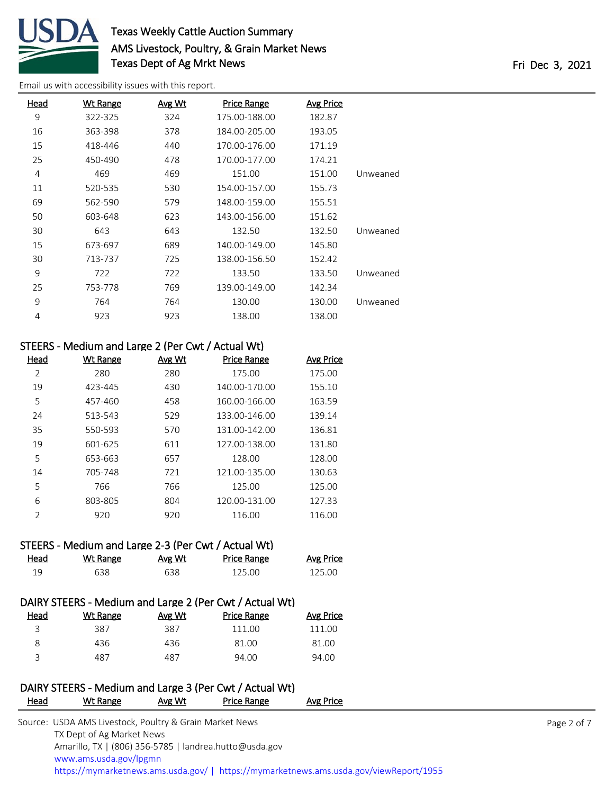

# Texas Weekly Cattle Auction Summary AMS Livestock, Poultry, & Grain Market News Texas Dept of Ag Mrkt News **Fri Dec 3**, 2021

[Email us with accessibility issues with this report.](mailto:mars@ams.usda.gov?subject=508%20issue)

| Head | <b>Wt Range</b> | Avg Wt | <b>Price Range</b> | Avg Price |          |
|------|-----------------|--------|--------------------|-----------|----------|
| 9    | 322-325         | 324    | 175.00-188.00      | 182.87    |          |
| 16   | 363-398         | 378    | 184.00-205.00      | 193.05    |          |
| 15   | 418-446         | 440    | 170.00-176.00      | 171.19    |          |
| 25   | 450-490         | 478    | 170.00-177.00      | 174.21    |          |
| 4    | 469             | 469    | 151.00             | 151.00    | Unweaned |
| 11   | 520-535         | 530    | 154.00-157.00      | 155.73    |          |
| 69   | 562-590         | 579    | 148.00-159.00      | 155.51    |          |
| 50   | 603-648         | 623    | 143.00-156.00      | 151.62    |          |
| 30   | 643             | 643    | 132.50             | 132.50    | Unweaned |
| 15   | 673-697         | 689    | 140.00-149.00      | 145.80    |          |
| 30   | 713-737         | 725    | 138.00-156.50      | 152.42    |          |
| 9    | 722             | 722    | 133.50             | 133.50    | Unweaned |
| 25   | 753-778         | 769    | 139.00-149.00      | 142.34    |          |
| 9    | 764             | 764    | 130.00             | 130.00    | Unweaned |
| 4    | 923             | 923    | 138.00             | 138.00    |          |

# STEERS - Medium and Large 2 (Per Cwt / Actual Wt)

| Head           | <b>Wt Range</b> | Avg Wt | <b>Price Range</b> | <b>Avg Price</b> |
|----------------|-----------------|--------|--------------------|------------------|
| 2              | 280             | 280    | 175.00             | 175.00           |
| 19             | 423-445         | 430    | 140.00-170.00      | 155.10           |
| 5              | 457-460         | 458    | 160.00-166.00      | 163.59           |
| 24             | 513-543         | 529    | 133.00-146.00      | 139.14           |
| 35             | 550-593         | 570    | 131.00-142.00      | 136.81           |
| 19             | 601-625         | 611    | 127.00-138.00      | 131.80           |
| 5              | 653-663         | 657    | 128.00             | 128.00           |
| 14             | 705-748         | 721    | 121.00-135.00      | 130.63           |
| 5              | 766             | 766    | 125.00             | 125.00           |
| 6              | 803-805         | 804    | 120.00-131.00      | 127.33           |
| $\mathfrak{D}$ | 920             | 920    | 116.00             | 116.00           |

### STEERS - Medium and Large 2-3 (Per Cwt / Actual Wt)

| Head | Wt Range | <u>Avg Wt</u> | Price Range | <b>Avg Price</b> |
|------|----------|---------------|-------------|------------------|
|      | 638      | 638           | 125.00      | 125.00           |

# DAIRY STEERS - Medium and Large 2 (Per Cwt / Actual Wt) Head Wt Range Avg Wt Price Range Avg Price 387 387 111.00 111.00 436 436 81.00 81.00

487 487 94.00 94.00

# DAIRY STEERS - Medium and Large 3 (Per Cwt / Actual Wt)

| <b>Head</b> | Wt Range                                                | Avg Wt | Price Range                                            | Avg Price                                                                              |             |
|-------------|---------------------------------------------------------|--------|--------------------------------------------------------|----------------------------------------------------------------------------------------|-------------|
|             | Source: USDA AMS Livestock, Poultry & Grain Market News |        |                                                        |                                                                                        | Page 2 of 7 |
|             | TX Dept of Ag Market News                               |        |                                                        |                                                                                        |             |
|             |                                                         |        | Amarillo, TX   (806) 356-5785   landrea.hutto@usda.gov |                                                                                        |             |
|             | www.ams.usda.gov/lpgmn                                  |        |                                                        |                                                                                        |             |
|             |                                                         |        |                                                        | https://mymarketnews.ams.usda.gov/   https://mymarketnews.ams.usda.gov/viewReport/1955 |             |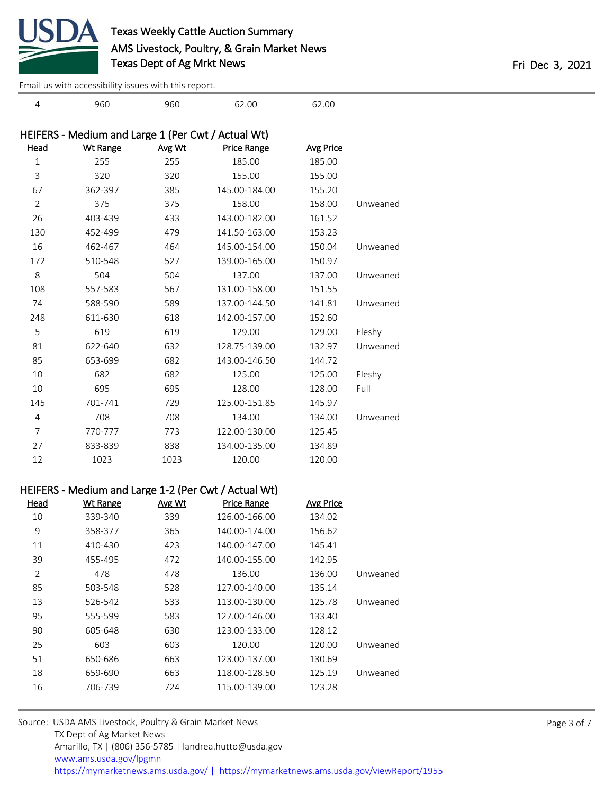

960 960 62.00 62.00

[Email us with accessibility issues with this report.](mailto:mars@ams.usda.gov?subject=508%20issue)

|                | HEIFERS - Medium and Large 1 (Per Cwt / Actual Wt) |        |                    |           |          |
|----------------|----------------------------------------------------|--------|--------------------|-----------|----------|
| Head           | <b>Wt Range</b>                                    | Avg Wt | <b>Price Range</b> | Avg Price |          |
| $1\,$          | 255                                                | 255    | 185.00             | 185.00    |          |
| 3              | 320                                                | 320    | 155.00             | 155.00    |          |
| 67             | 362-397                                            | 385    | 145.00-184.00      | 155.20    |          |
| $\overline{2}$ | 375                                                | 375    | 158.00             | 158.00    | Unweaned |
| 26             | 403-439                                            | 433    | 143.00-182.00      | 161.52    |          |
| 130            | 452-499                                            | 479    | 141.50-163.00      | 153.23    |          |
| 16             | 462-467                                            | 464    | 145.00-154.00      | 150.04    | Unweaned |
| 172            | 510-548                                            | 527    | 139.00-165.00      | 150.97    |          |
| 8              | 504                                                | 504    | 137.00             | 137.00    | Unweaned |
| 108            | 557-583                                            | 567    | 131.00-158.00      | 151.55    |          |
| 74             | 588-590                                            | 589    | 137.00-144.50      | 141.81    | Unweaned |
| 248            | 611-630                                            | 618    | 142.00-157.00      | 152.60    |          |
| 5              | 619                                                | 619    | 129.00             | 129.00    | Fleshy   |
| 81             | 622-640                                            | 632    | 128.75-139.00      | 132.97    | Unweaned |
| 85             | 653-699                                            | 682    | 143.00-146.50      | 144.72    |          |
| 10             | 682                                                | 682    | 125.00             | 125.00    | Fleshy   |
| 10             | 695                                                | 695    | 128.00             | 128.00    | Full     |
| 145            | 701-741                                            | 729    | 125.00-151.85      | 145.97    |          |
| 4              | 708                                                | 708    | 134.00             | 134.00    | Unweaned |
| 7              | 770-777                                            | 773    | 122.00-130.00      | 125.45    |          |
| 27             | 833-839                                            | 838    | 134.00-135.00      | 134.89    |          |
| 12             | 1023                                               | 1023   | 120.00             | 120.00    |          |

### HEIFERS - Medium and Large 1-2 (Per Cwt / Actual Wt)

| Head           | <b>Wt Range</b> | Avg Wt | <b>Price Range</b> | <b>Avg Price</b> |          |
|----------------|-----------------|--------|--------------------|------------------|----------|
| 10             | 339-340         | 339    | 126.00-166.00      | 134.02           |          |
| 9              | 358-377         | 365    | 140.00-174.00      | 156.62           |          |
| 11             | 410-430         | 423    | 140.00-147.00      | 145.41           |          |
| 39             | 455-495         | 472    | 140.00-155.00      | 142.95           |          |
| $\overline{2}$ | 478             | 478    | 136.00             | 136.00           | Unweaned |
| 85             | 503-548         | 528    | 127.00-140.00      | 135.14           |          |
| 13             | 526-542         | 533    | 113.00-130.00      | 125.78           | Unweaned |
| 95             | 555-599         | 583    | 127.00-146.00      | 133.40           |          |
| 90             | 605-648         | 630    | 123.00-133.00      | 128.12           |          |
| 25             | 603             | 603    | 120.00             | 120.00           | Unweaned |
| 51             | 650-686         | 663    | 123.00-137.00      | 130.69           |          |
| 18             | 659-690         | 663    | 118.00-128.50      | 125.19           | Unweaned |
| 16             | 706-739         | 724    | 115.00-139.00      | 123.28           |          |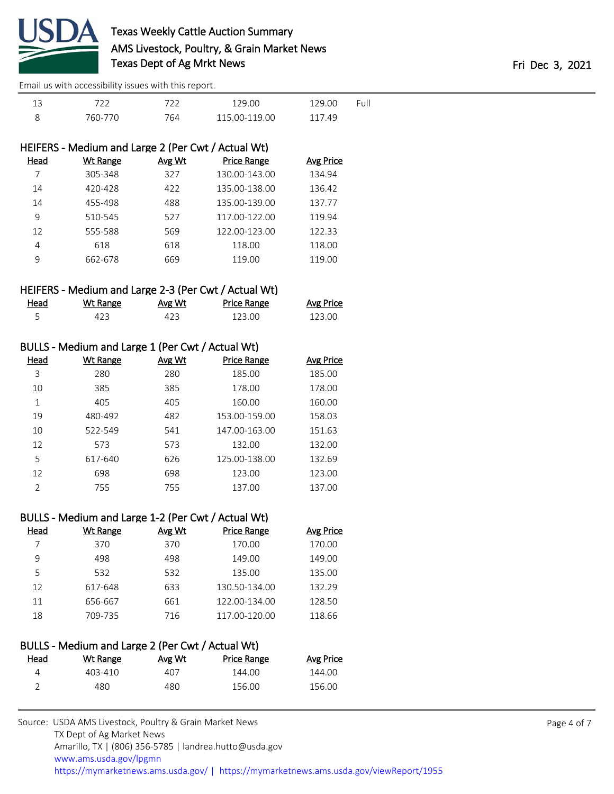

[Email us with accessibility issues with this report.](mailto:mars@ams.usda.gov?subject=508%20issue)

|         | ר ר ד | 129 QQ        | 129 NO | Full |
|---------|-------|---------------|--------|------|
| 760-770 | 764   | 115 00-119 00 | 117.49 |      |

| HEIFERS - Medium and Large 2 (Per Cwt / Actual Wt) |                 |        |                    |                  |  |
|----------------------------------------------------|-----------------|--------|--------------------|------------------|--|
| Head                                               | <b>Wt Range</b> | Avg Wt | <b>Price Range</b> | <b>Avg Price</b> |  |
|                                                    | 305-348         | 327    | 130.00-143.00      | 134.94           |  |
| 14                                                 | 420-428         | 422    | 135.00-138.00      | 136.42           |  |
| 14                                                 | 455-498         | 488    | 135.00-139.00      | 137.77           |  |
| 9                                                  | 510-545         | 527    | 117.00-122.00      | 119.94           |  |
| 12                                                 | 555-588         | 569    | 122.00-123.00      | 122.33           |  |
| 4                                                  | 618             | 618    | 118.00             | 118.00           |  |
| 9                                                  | 662-678         | 669    | 119.00             | 119.00           |  |
|                                                    |                 |        |                    |                  |  |

### HEIFERS - Medium and Large 2-3 (Per Cwt / Actual Wt)

| <u>Head</u> | <u>Wt Range</u> | Avg Wt | <b>Price Range</b> | <b>Avg Price</b> |
|-------------|-----------------|--------|--------------------|------------------|
|             |                 |        | 123.00             | 123.00           |

## BULLS - Medium and Large 1 (Per Cwt / Actual Wt)

| Head          | Wt Range | Avg Wt | <b>Price Range</b> | <b>Avg Price</b> |
|---------------|----------|--------|--------------------|------------------|
| 3             | 280      | 280    | 185.00             | 185.00           |
| 10            | 385      | 385    | 178.00             | 178.00           |
| 1             | 405      | 405    | 160.00             | 160.00           |
| 19            | 480-492  | 482    | 153.00-159.00      | 158.03           |
| 10            | 522-549  | 541    | 147.00-163.00      | 151.63           |
| 12            | 573      | 573    | 132.00             | 132.00           |
| 5             | 617-640  | 626    | 125.00-138.00      | 132.69           |
| 12            | 698      | 698    | 123.00             | 123.00           |
| $\mathcal{P}$ | 755      | 755    | 137.00             | 137.00           |

### BULLS - Medium and Large 1-2 (Per Cwt / Actual Wt)

| Head | Wt Range | Avg Wt | Price Range   | <b>Avg Price</b> |
|------|----------|--------|---------------|------------------|
|      | 370      | 370    | 170.00        | 170.00           |
| 9    | 498      | 498    | 149.00        | 149.00           |
| 5    | 532      | 532    | 135.00        | 135.00           |
| 12   | 617-648  | 633    | 130.50-134.00 | 132.29           |
| 11   | 656-667  | 661    | 122.00-134.00 | 128.50           |
| 18   | 709-735  | 716    | 117.00-120.00 | 118.66           |
|      |          |        |               |                  |

# BULLS - Medium and Large 2 (Per Cwt / Actual Wt)

| <b>Head</b> | Wt Range | Avg Wt | Price Range | Avg Price |
|-------------|----------|--------|-------------|-----------|
|             | 403-410  | 407    | 144.00      | 144.00    |
|             | 480      | 480    | 156.00      | 156.00    |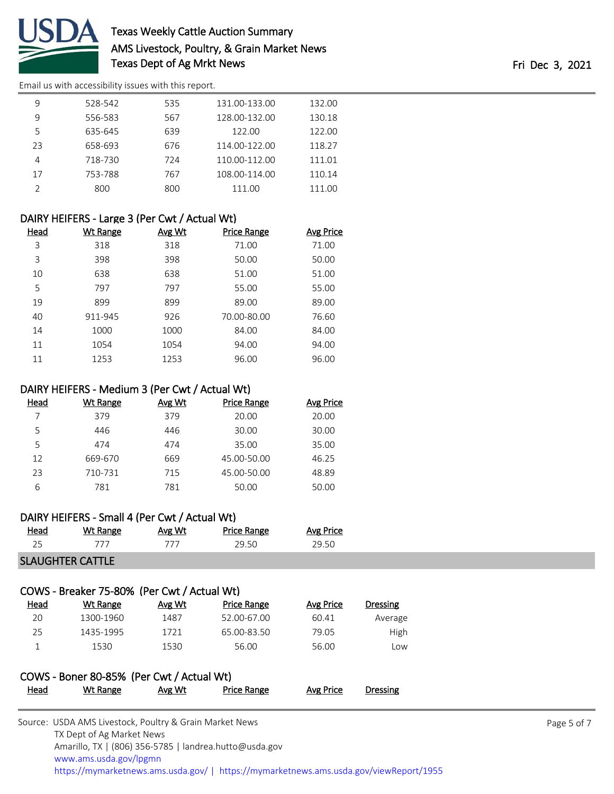

# Texas Weekly Cattle Auction Summary AMS Livestock, Poultry, & Grain Market News Texas Dept of Ag Mrkt News **Fri Dec 3**, 2021

[Email us with accessibility issues with this report.](mailto:mars@ams.usda.gov?subject=508%20issue)

| 9  | 528-542 | 535 | 131.00-133.00 | 132.00 |
|----|---------|-----|---------------|--------|
| 9  | 556-583 | 567 | 128.00-132.00 | 130.18 |
| 5  | 635-645 | 639 | 122.00        | 122.00 |
| 23 | 658-693 | 676 | 114.00-122.00 | 118.27 |
| 4  | 718-730 | 724 | 110.00-112.00 | 111.01 |
| 17 | 753-788 | 767 | 108.00-114.00 | 110.14 |
|    | 800     | 800 | 111.00        | 111.00 |

### DAIRY HEIFERS - Large 3 (Per Cwt / Actual Wt)

| Head | <b>Wt Range</b> | Avg Wt | <b>Price Range</b> | Avg Price |
|------|-----------------|--------|--------------------|-----------|
| 3    | 318             | 318    | 71.00              | 71.00     |
| 3    | 398             | 398    | 50.00              | 50.00     |
| 10   | 638             | 638    | 51.00              | 51.00     |
| 5    | 797             | 797    | 55.00              | 55.00     |
| 19   | 899             | 899    | 89.00              | 89.00     |
| 40   | 911-945         | 926    | 70.00-80.00        | 76.60     |
| 14   | 1000            | 1000   | 84.00              | 84.00     |
| 11   | 1054            | 1054   | 94.00              | 94.00     |
| 11   | 1253            | 1253   | 96.00              | 96.00     |

### DAIRY HEIFERS - Medium 3 (Per Cwt / Actual Wt)

| Head | Wt Range | Avg Wt | <b>Price Range</b> | <b>Avg Price</b> |
|------|----------|--------|--------------------|------------------|
|      | 379      | 379    | 20.00              | 20.00            |
| 5    | 446      | 446    | 30.00              | 30.00            |
| 5    | 474      | 474    | 35.00              | 35.00            |
| 12   | 669-670  | 669    | 45.00-50.00        | 46.25            |
| 23   | 710-731  | 715    | 45.00-50.00        | 48.89            |
| 6    | 781      | 781    | 50.00              | 50.00            |

### DAIRY HEIFERS - Small 4 (Per Cwt / Actual Wt)

SLAUGHTER CATTLE

# COWS - Breaker 75-80% (Per Cwt / Actual Wt)

| <u>Head</u> | Wt Range  | Avg Wt | Price Range | Avg Price | <b>Dressing</b> |
|-------------|-----------|--------|-------------|-----------|-----------------|
| 20          | 1300-1960 | 1487   | 52.00-67.00 | 60.41     | Average         |
| 25          | 1435-1995 | 1721   | 65.00-83.50 | 79.05     | High            |
|             | 1530      | 1530   | 56.00       | 56.00     | Low             |

|             | COWS - Boner 80-85% (Per Cwt / Actual Wt) |        |                    |                  |          |
|-------------|-------------------------------------------|--------|--------------------|------------------|----------|
| <u>Head</u> | Wt Range                                  | Avg Wt | <b>Price Range</b> | <b>Avg Price</b> | Dressing |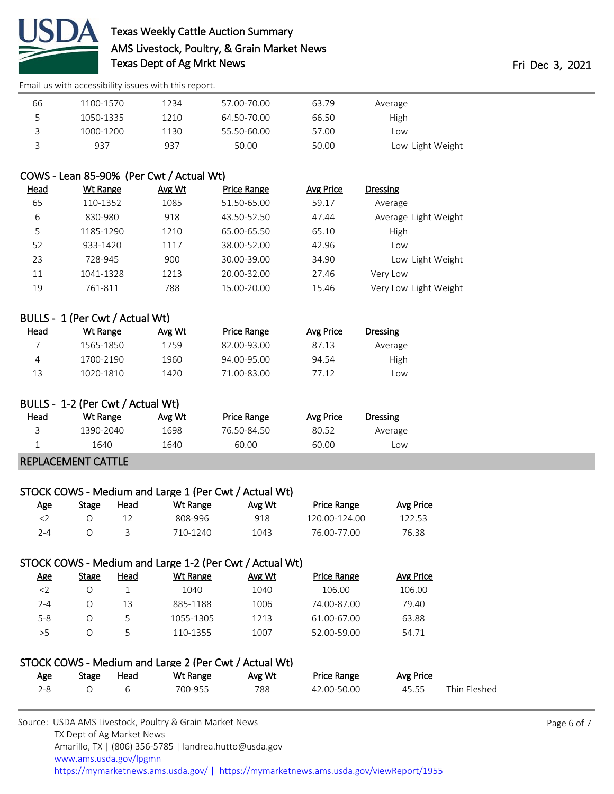

# Texas Weekly Cattle Auction Summary AMS Livestock, Poultry, & Grain Market News Texas Dept of Ag Mrkt News Texas Dept of Ag Mrkt News

[Email us with accessibility issues with this report.](mailto:mars@ams.usda.gov?subject=508%20issue)

| 66 | 1100-1570 | 1234 | 57.00-70.00 | 63.79 | Average          |
|----|-----------|------|-------------|-------|------------------|
| ∽  | 1050-1335 | 1210 | 64.50-70.00 | 66.50 | High             |
|    | 1000-1200 | 1130 | 55.50-60.00 | 57.00 | Low              |
|    | 937       | 937  | 50.00       | 50.00 | Low Light Weight |

# COWS - Lean 85-90% (Per Cwt / Actual Wt)

| <u>Head</u> | Wt Range  | Avg Wt | <b>Price Range</b> | Avg Price | <b>Dressing</b>       |
|-------------|-----------|--------|--------------------|-----------|-----------------------|
| 65          | 110-1352  | 1085   | 51.50-65.00        | 59.17     | Average               |
| 6           | 830-980   | 918    | 43.50-52.50        | 47.44     | Average Light Weight  |
| 5           | 1185-1290 | 1210   | 65.00-65.50        | 65.10     | High                  |
| 52          | 933-1420  | 1117   | 38.00-52.00        | 42.96     | Low                   |
| 23          | 728-945   | 900    | 30.00-39.00        | 34.90     | Low Light Weight      |
| 11          | 1041-1328 | 1213   | 20.00-32.00        | 27.46     | Very Low              |
| 19          | 761-811   | 788    | 15.00-20.00        | 15.46     | Very Low Light Weight |

| BULLS - 1 (Per Cwt / Actual Wt) |           |        |                    |           |          |  |
|---------------------------------|-----------|--------|--------------------|-----------|----------|--|
| Head                            | Wt Range  | Avg Wt | <b>Price Range</b> | Avg Price | Dressing |  |
|                                 | 1565-1850 | 1759   | 82.00-93.00        | 87.13     | Average  |  |
| 4                               | 1700-2190 | 1960   | 94.00-95.00        | 94.54     | High     |  |
| 13                              | 1020-1810 | 1420   | 71.00-83.00        | 77.12     | LOW      |  |

| BULLS - 1-2 (Per Cwt / Actual Wt) |           |        |                    |           |          |  |  |  |
|-----------------------------------|-----------|--------|--------------------|-----------|----------|--|--|--|
| Head                              | Wt Range  | Avg Wt | <b>Price Range</b> | Avg Price | Dressing |  |  |  |
|                                   | 1390-2040 | 1698   | 76.50-84.50        | 80.52     | Average  |  |  |  |
|                                   | 1640      | 1640   | 60.00              | 60.00     | Low      |  |  |  |
| <b>REPLACEMENT CATTLE</b>         |           |        |                    |           |          |  |  |  |

# STOCK COWS - Medium and Large 1 (Per Cwt / Actual Wt)

| Age | Stage | Head | <u>Wt Range</u> | Avg Wt | <b>Price Range</b> | <b>Avg Price</b> |
|-----|-------|------|-----------------|--------|--------------------|------------------|
|     |       |      | 808-996         | 918    | 120.00-124.00      | 122.53           |
| 7-4 |       |      | 710-1240        | 1043   | 76.00-77.00        | 76.38            |

## STOCK COWS - Medium and Large 1-2 (Per Cwt / Actual Wt)

| Age       | Stage | Head | Wt Range  | Avg Wt | <b>Price Range</b> | Avg Price |
|-----------|-------|------|-----------|--------|--------------------|-----------|
| $\langle$ |       |      | 1040      | 1040   | 106.00             | 106.00    |
| $2 - 4$   |       | 13   | 885-1188  | 1006   | 74.00-87.00        | 79.40     |
| $5 - 8$   |       |      | 1055-1305 | 1213   | 61.00-67.00        | 63.88     |
| > 5       |       |      | 110-1355  | 1007   | 52.00-59.00        | 54.71     |

| STOCK COWS - Medium and Large 2 (Per Cwt / Actual Wt) |       |      |          |        |                    |           |              |  |
|-------------------------------------------------------|-------|------|----------|--------|--------------------|-----------|--------------|--|
| Age                                                   | Stage | Head | Wt Range | Avg Wt | <b>Price Range</b> | Avg Price |              |  |
| $2 - 8$                                               |       |      | 700-955  | 788    | 42.00-50.00        | 45.55     | Thin Fleshed |  |

| Source: USDA AMS Livestock, Poultry & Grain Market News                                |  |  |  |  |  |  |  |
|----------------------------------------------------------------------------------------|--|--|--|--|--|--|--|
| TX Dept of Ag Market News                                                              |  |  |  |  |  |  |  |
| Amarillo, TX   (806) 356-5785   landrea.hutto@usda.gov                                 |  |  |  |  |  |  |  |
| www.ams.usda.gov/lpgmn                                                                 |  |  |  |  |  |  |  |
| https://mymarketnews.ams.usda.gov/   https://mymarketnews.ams.usda.gov/viewReport/1955 |  |  |  |  |  |  |  |